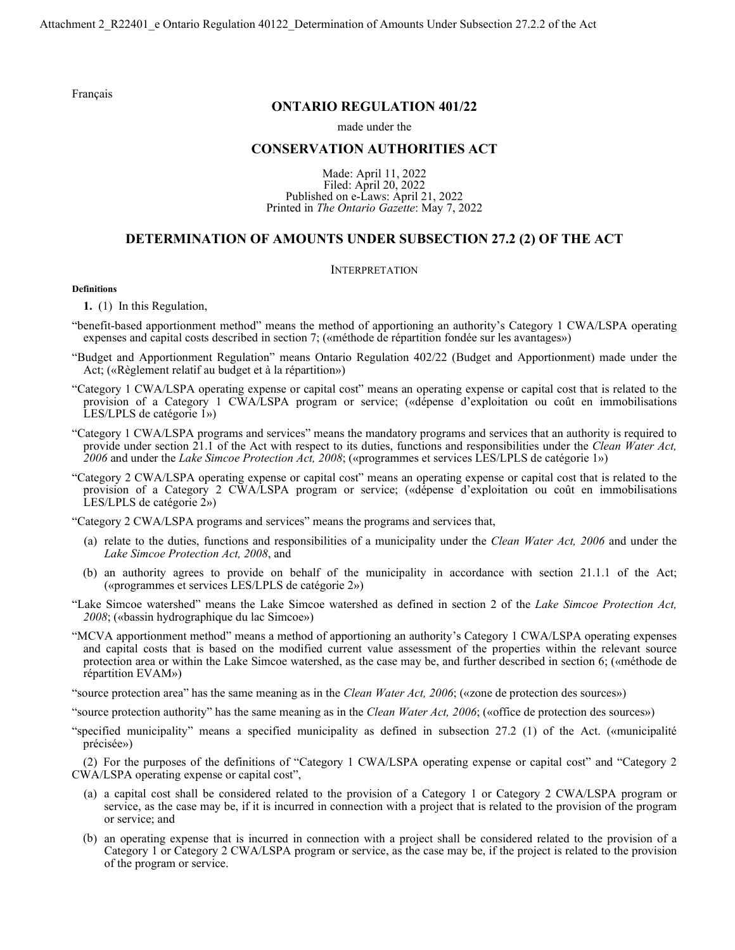[Français](http://www.ontario.ca/fr/lois/reglement/r22401)

# **ONTARIO REGULATION 401/22**

### made under the

# **CONSERVATION AUTHORITIES ACT**

Made: April 11, 2022 Filed: April 20, 2022 Published on e-Laws: April 21, 2022 Printed in *The Ontario Gazette*: May 7, 2022

## **DETERMINATION OF AMOUNTS UNDER SUBSECTION 27.2 (2) OF THE ACT**

## INTERPRETATION

## **Definitions**

**1.** (1) In this Regulation,

- "benefit-based apportionment method" means the method of apportioning an authority's Category 1 CWA/LSPA operating expenses and capital costs described in section 7; («méthode de répartition fondée sur les avantages»)
- "Budget and Apportionment Regulation" means Ontario Regulation 402/22 (Budget and Apportionment) made under the Act; («Règlement relatif au budget et à la répartition»)
- "Category 1 CWA/LSPA operating expense or capital cost" means an operating expense or capital cost that is related to the provision of a Category 1 CWA/LSPA program or service; («dépense d'exploitation ou coût en immobilisations LES/LPLS de catégorie 1»)
- "Category 1 CWA/LSPA programs and services" means the mandatory programs and services that an authority is required to provide under section 21.1 of the Act with respect to its duties, functions and responsibilities under the *Clean Water Act, 2006* and under the *Lake Simcoe Protection Act, 2008*; («programmes et services LES/LPLS de catégorie 1»)
- "Category 2 CWA/LSPA operating expense or capital cost" means an operating expense or capital cost that is related to the provision of a Category 2 CWA/LSPA program or service; («dépense d'exploitation ou coût en immobilisations LES/LPLS de catégorie 2»)

"Category 2 CWA/LSPA programs and services" means the programs and services that,

- (a) relate to the duties, functions and responsibilities of a municipality under the *Clean Water Act, 2006* and under the *Lake Simcoe Protection Act, 2008*, and
- (b) an authority agrees to provide on behalf of the municipality in accordance with section 21.1.1 of the Act; («programmes et services LES/LPLS de catégorie 2»)
- "Lake Simcoe watershed" means the Lake Simcoe watershed as defined in section 2 of the *Lake Simcoe Protection Act, 2008*; («bassin hydrographique du lac Simcoe»)
- "MCVA apportionment method" means a method of apportioning an authority's Category 1 CWA/LSPA operating expenses and capital costs that is based on the modified current value assessment of the properties within the relevant source protection area or within the Lake Simcoe watershed, as the case may be, and further described in section 6; («méthode de répartition EVAM»)
- "source protection area" has the same meaning as in the *Clean Water Act, 2006*; («zone de protection des sources»)

"source protection authority" has the same meaning as in the *Clean Water Act, 2006*; («office de protection des sources»)

"specified municipality" means a specified municipality as defined in subsection 27.2 (1) of the Act. («municipalité précisée»)

(2) For the purposes of the definitions of "Category 1 CWA/LSPA operating expense or capital cost" and "Category 2 CWA/LSPA operating expense or capital cost",

- (a) a capital cost shall be considered related to the provision of a Category 1 or Category 2 CWA/LSPA program or service, as the case may be, if it is incurred in connection with a project that is related to the provision of the program or service; and
- (b) an operating expense that is incurred in connection with a project shall be considered related to the provision of a Category 1 or Category 2 CWA/LSPA program or service, as the case may be, if the project is related to the provision of the program or service.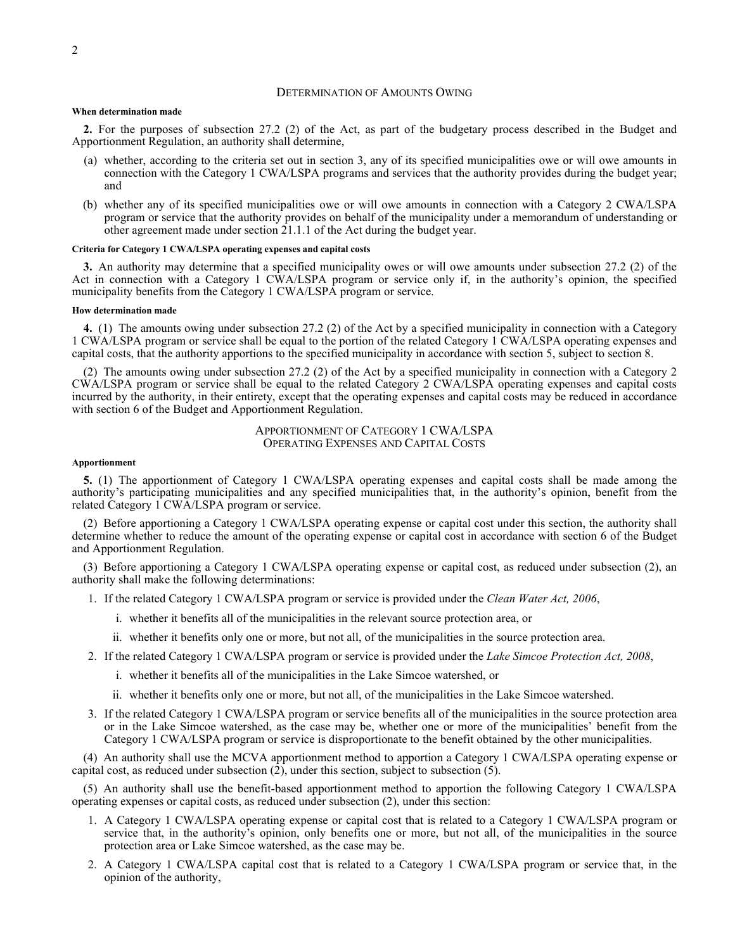### DETERMINATION OF AMOUNTS OWING

#### **When determination made**

**2.** For the purposes of subsection 27.2 (2) of the Act, as part of the budgetary process described in the Budget and Apportionment Regulation, an authority shall determine,

- (a) whether, according to the criteria set out in section 3, any of its specified municipalities owe or will owe amounts in connection with the Category 1 CWA/LSPA programs and services that the authority provides during the budget year; and
- (b) whether any of its specified municipalities owe or will owe amounts in connection with a Category 2 CWA/LSPA program or service that the authority provides on behalf of the municipality under a memorandum of understanding or other agreement made under section 21.1.1 of the Act during the budget year.

#### **Criteria for Category 1 CWA/LSPA operating expenses and capital costs**

**3.** An authority may determine that a specified municipality owes or will owe amounts under subsection 27.2 (2) of the Act in connection with a Category 1 CWA/LSPA program or service only if, in the authority's opinion, the specified municipality benefits from the Category 1 CWA/LSPA program or service.

#### **How determination made**

**4.** (1) The amounts owing under subsection 27.2 (2) of the Act by a specified municipality in connection with a Category 1 CWA/LSPA program or service shall be equal to the portion of the related Category 1 CWA/LSPA operating expenses and capital costs, that the authority apportions to the specified municipality in accordance with section 5, subject to section 8.

(2) The amounts owing under subsection 27.2 (2) of the Act by a specified municipality in connection with a Category 2 CWA/LSPA program or service shall be equal to the related Category 2 CWA/LSPA operating expenses and capital costs incurred by the authority, in their entirety, except that the operating expenses and capital costs may be reduced in accordance with section 6 of the Budget and Apportionment Regulation.

> APPORTIONMENT OF CATEGORY 1 CWA/LSPA OPERATING EXPENSES AND CAPITAL COSTS

### **Apportionment**

**5.** (1) The apportionment of Category 1 CWA/LSPA operating expenses and capital costs shall be made among the authority's participating municipalities and any specified municipalities that, in the authority's opinion, benefit from the related Category 1 CWA/LSPA program or service.

(2) Before apportioning a Category 1 CWA/LSPA operating expense or capital cost under this section, the authority shall determine whether to reduce the amount of the operating expense or capital cost in accordance with section 6 of the Budget and Apportionment Regulation.

(3) Before apportioning a Category 1 CWA/LSPA operating expense or capital cost, as reduced under subsection (2), an authority shall make the following determinations:

- 1. If the related Category 1 CWA/LSPA program or service is provided under the *Clean Water Act, 2006*,
	- i. whether it benefits all of the municipalities in the relevant source protection area, or
	- ii. whether it benefits only one or more, but not all, of the municipalities in the source protection area.
- 2. If the related Category 1 CWA/LSPA program or service is provided under the *Lake Simcoe Protection Act, 2008*,
	- i. whether it benefits all of the municipalities in the Lake Simcoe watershed, or
	- ii. whether it benefits only one or more, but not all, of the municipalities in the Lake Simcoe watershed.
- 3. If the related Category 1 CWA/LSPA program or service benefits all of the municipalities in the source protection area or in the Lake Simcoe watershed, as the case may be, whether one or more of the municipalities' benefit from the Category 1 CWA/LSPA program or service is disproportionate to the benefit obtained by the other municipalities.

(4) An authority shall use the MCVA apportionment method to apportion a Category 1 CWA/LSPA operating expense or capital cost, as reduced under subsection  $(2)$ , under this section, subject to subsection  $(5)$ .

(5) An authority shall use the benefit-based apportionment method to apportion the following Category 1 CWA/LSPA operating expenses or capital costs, as reduced under subsection (2), under this section:

- 1. A Category 1 CWA/LSPA operating expense or capital cost that is related to a Category 1 CWA/LSPA program or service that, in the authority's opinion, only benefits one or more, but not all, of the municipalities in the source protection area or Lake Simcoe watershed, as the case may be.
- 2. A Category 1 CWA/LSPA capital cost that is related to a Category 1 CWA/LSPA program or service that, in the opinion of the authority,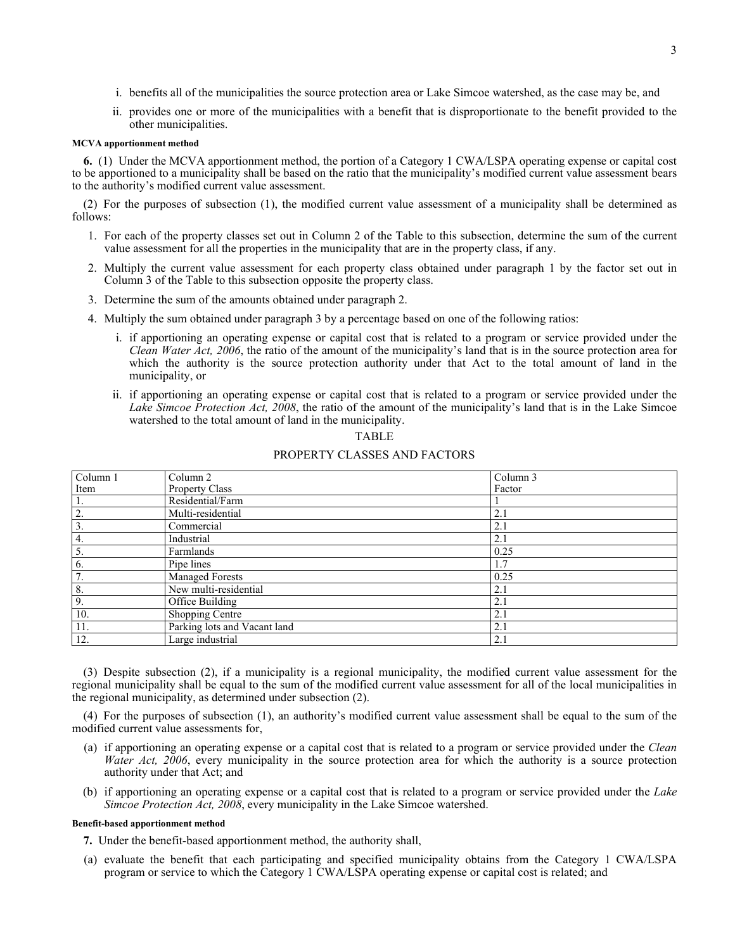- i. benefits all of the municipalities the source protection area or Lake Simcoe watershed, as the case may be, and
- ii. provides one or more of the municipalities with a benefit that is disproportionate to the benefit provided to the other municipalities.

## **MCVA apportionment method**

**6.** (1) Under the MCVA apportionment method, the portion of a Category 1 CWA/LSPA operating expense or capital cost to be apportioned to a municipality shall be based on the ratio that the municipality's modified current value assessment bears to the authority's modified current value assessment.

(2) For the purposes of subsection (1), the modified current value assessment of a municipality shall be determined as follows:

- 1. For each of the property classes set out in Column 2 of the Table to this subsection, determine the sum of the current value assessment for all the properties in the municipality that are in the property class, if any.
- 2. Multiply the current value assessment for each property class obtained under paragraph 1 by the factor set out in Column 3 of the Table to this subsection opposite the property class.
- 3. Determine the sum of the amounts obtained under paragraph 2.
- 4. Multiply the sum obtained under paragraph 3 by a percentage based on one of the following ratios:
	- i. if apportioning an operating expense or capital cost that is related to a program or service provided under the *Clean Water Act, 2006*, the ratio of the amount of the municipality's land that is in the source protection area for which the authority is the source protection authority under that Act to the total amount of land in the municipality, or
	- ii. if apportioning an operating expense or capital cost that is related to a program or service provided under the *Lake Simcoe Protection Act, 2008*, the ratio of the amount of the municipality's land that is in the Lake Simcoe watershed to the total amount of land in the municipality.

## TABLE

# PROPERTY CLASSES AND FACTORS

| Column 1         | Column <sub>2</sub>          | Column 3 |
|------------------|------------------------------|----------|
| Item             | Property Class               | Factor   |
| 1.               | Residential/Farm             |          |
| $\overline{2}$ . | Multi-residential            | 2.1      |
| 3.               | Commercial                   | 2.1      |
| 4.               | Industrial                   | 2.1      |
| 5.               | Farmlands                    | 0.25     |
| 6.               | Pipe lines                   | 1.7      |
| 7.               | <b>Managed Forests</b>       | 0.25     |
| 8.               | New multi-residential        | 2.1      |
| $\cdot$ 9.       | Office Building              | 2.1      |
| 10.              | Shopping Centre              | 2.1      |
| 11.              | Parking lots and Vacant land | 2.1      |
| 12.              | Large industrial             | 2.1      |

(3) Despite subsection (2), if a municipality is a regional municipality, the modified current value assessment for the regional municipality shall be equal to the sum of the modified current value assessment for all of the local municipalities in the regional municipality, as determined under subsection (2).

(4) For the purposes of subsection (1), an authority's modified current value assessment shall be equal to the sum of the modified current value assessments for,

- (a) if apportioning an operating expense or a capital cost that is related to a program or service provided under the *Clean Water Act, 2006*, every municipality in the source protection area for which the authority is a source protection authority under that Act; and
- (b) if apportioning an operating expense or a capital cost that is related to a program or service provided under the *Lake Simcoe Protection Act, 2008*, every municipality in the Lake Simcoe watershed.

### **Benefit-based apportionment method**

**7.** Under the benefit-based apportionment method, the authority shall,

(a) evaluate the benefit that each participating and specified municipality obtains from the Category 1 CWA/LSPA program or service to which the Category 1 CWA/LSPA operating expense or capital cost is related; and